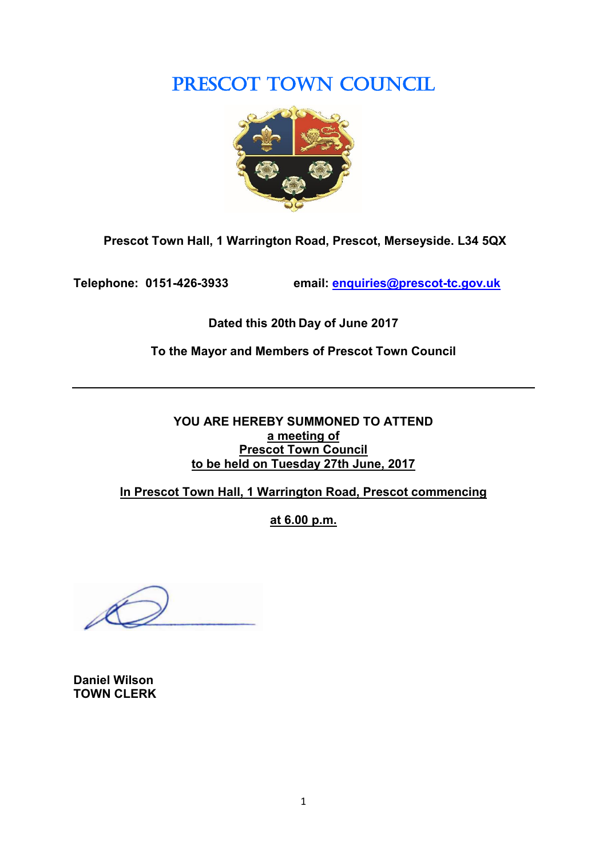PRESCOT TOWN COUNCIL



**Prescot Town Hall, 1 Warrington Road, Prescot, Merseyside. L34 5QX**

**Telephone: 0151-426-3933 email: [enquiries@prescot-tc.gov.uk](mailto:enquiries@prescot-tc.gov.uk)**

**Dated this 20th Day of June 2017**

**To the Mayor and Members of Prescot Town Council**

**YOU ARE HEREBY SUMMONED TO ATTEND a meeting of Prescot Town Council to be held on Tuesday 27th June, 2017**

**In Prescot Town Hall, 1 Warrington Road, Prescot commencing**

**at 6.00 p.m.**

**Daniel Wilson TOWN CLERK**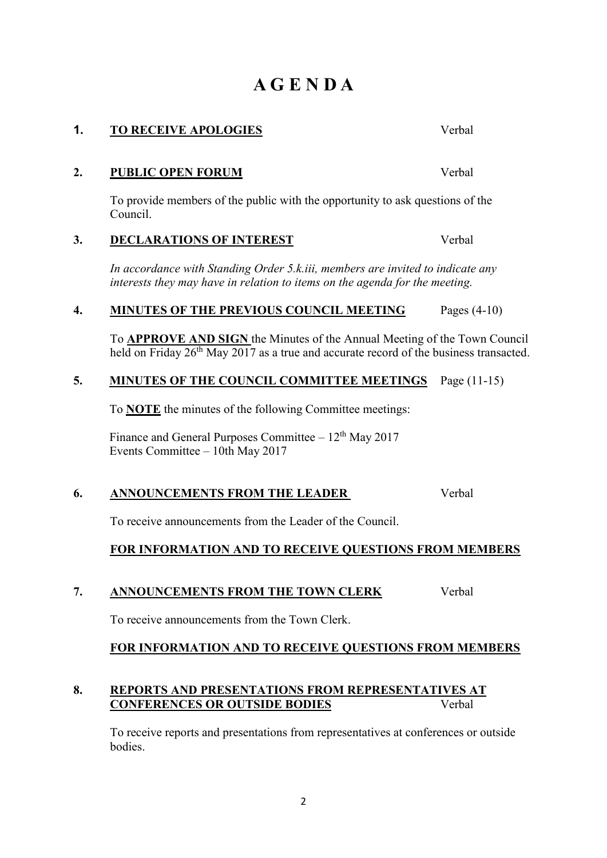# **A G E N D A**

# **2. PUBLIC OPEN FORUM** Verbal

To provide members of the public with the opportunity to ask questions of the Council.

### **3. DECLARATIONS OF INTEREST** Verbal

*In accordance with Standing Order 5.k.iii, members are invited to indicate any interests they may have in relation to items on the agenda for the meeting.*

### **4. MINUTES OF THE PREVIOUS COUNCIL MEETING** Pages (4-10)

To **APPROVE AND SIGN** the Minutes of the Annual Meeting of the Town Council held on Friday  $26<sup>th</sup>$  May  $2017$  as a true and accurate record of the business transacted.

### **5. MINUTES OF THE COUNCIL COMMITTEE MEETINGS** Page (11-15)

To **NOTE** the minutes of the following Committee meetings:

Finance and General Purposes Committee  $-12<sup>th</sup>$  May 2017 Events Committee – 10th May 2017

### **6. ANNOUNCEMENTS FROM THE LEADER** Verbal

To receive announcements from the Leader of the Council.

### **FOR INFORMATION AND TO RECEIVE QUESTIONS FROM MEMBERS**

#### **7. ANNOUNCEMENTS FROM THE TOWN CLERK** Verbal

To receive announcements from the Town Clerk.

### **FOR INFORMATION AND TO RECEIVE QUESTIONS FROM MEMBERS**

### **8. REPORTS AND PRESENTATIONS FROM REPRESENTATIVES AT CONFERENCES OR OUTSIDE BODIES** Verbal

To receive reports and presentations from representatives at conferences or outside bodies.

# **1. TO RECEIVE APOLOGIES** Verbal